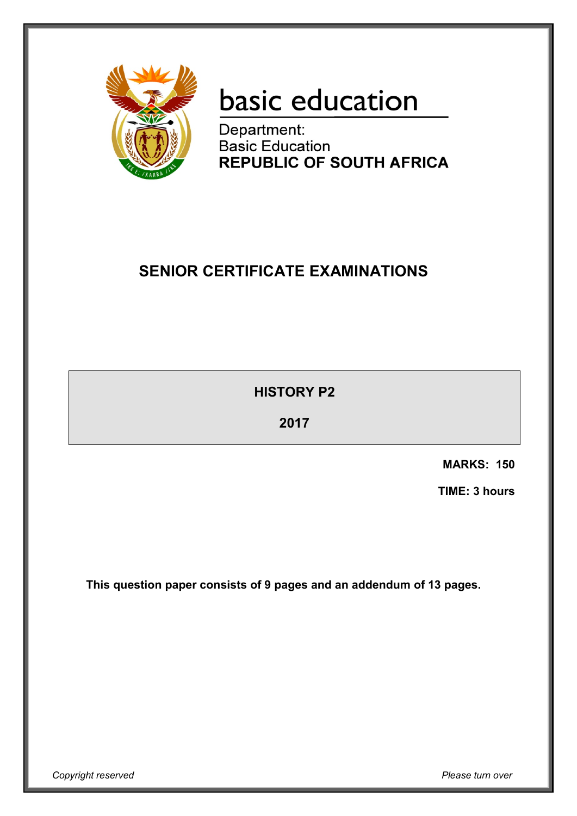

# basic education

Department: **Basic Education REPUBLIC OF SOUTH AFRICA** 

# **SENIOR CERTIFICATE EXAMINATIONS**

**HISTORY P2**

**2017**

**MARKS: 150**

**TIME: 3 hours**

**This question paper consists of 9 pages and an addendum of 13 pages.**

*Copyright reserved Please turn over*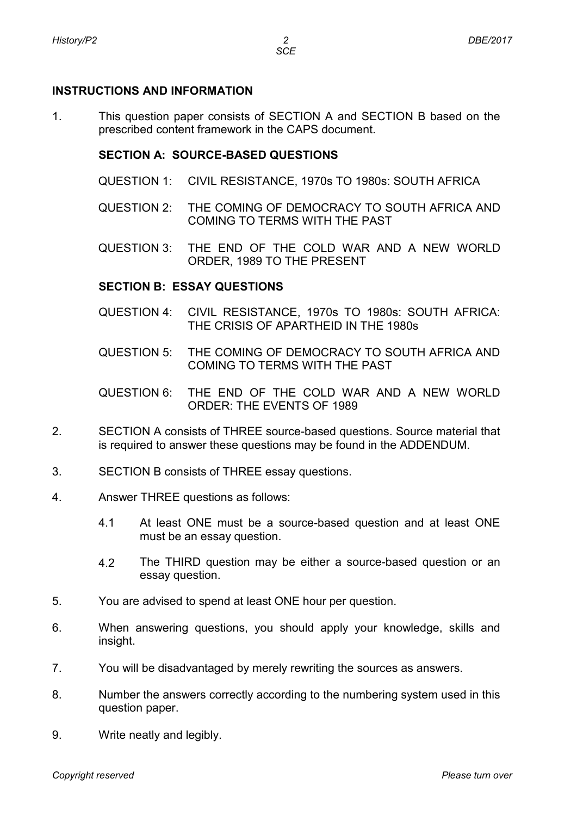# **INSTRUCTIONS AND INFORMATION**

1. This question paper consists of SECTION A and SECTION B based on the prescribed content framework in the CAPS document.

# **SECTION A: SOURCE-BASED QUESTIONS**

- QUESTION 1: CIVIL RESISTANCE, 1970s TO 1980s: SOUTH AFRICA
- QUESTION 2: THE COMING OF DEMOCRACY TO SOUTH AFRICA AND COMING TO TERMS WITH THE PAST
- QUESTION 3: THE END OF THE COLD WAR AND A NEW WORLD ORDER, 1989 TO THE PRESENT

#### **SECTION B: ESSAY QUESTIONS**

- QUESTION 4: CIVIL RESISTANCE, 1970s TO 1980s: SOUTH AFRICA: THE CRISIS OF APARTHEID IN THE 1980s
- QUESTION 5: THE COMING OF DEMOCRACY TO SOUTH AFRICA AND COMING TO TERMS WITH THE PAST
- QUESTION 6: THE END OF THE COLD WAR AND A NEW WORLD ORDER: THE EVENTS OF 1989
- 2. SECTION A consists of THREE source-based questions. Source material that is required to answer these questions may be found in the ADDENDUM.
- 3. SECTION B consists of THREE essay questions.
- 4. Answer THREE questions as follows:
	- 4.1 At least ONE must be a source-based question and at least ONE must be an essay question.
	- 4.2 The THIRD question may be either a source-based question or an essay question.
- 5. You are advised to spend at least ONE hour per question.
- 6. When answering questions, you should apply your knowledge, skills and insight.
- 7. You will be disadvantaged by merely rewriting the sources as answers.
- 8. Number the answers correctly according to the numbering system used in this question paper.
- 9. Write neatly and legibly.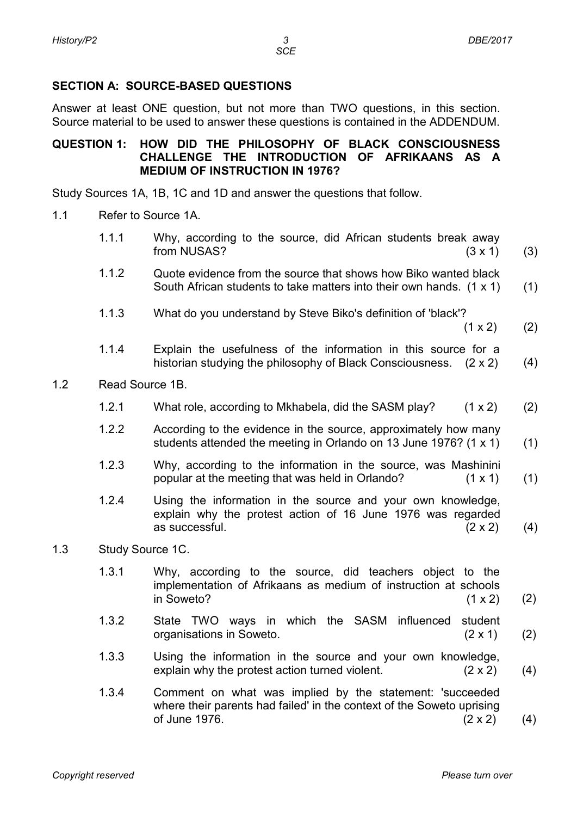# **SECTION A: SOURCE-BASED QUESTIONS**

Answer at least ONE question, but not more than TWO questions, in this section. Source material to be used to answer these questions is contained in the ADDENDUM.

#### **QUESTION 1: HOW DID THE PHILOSOPHY OF BLACK CONSCIOUSNESS CHALLENGE THE INTRODUCTION OF AFRIKAANS AS A MEDIUM OF INSTRUCTION IN 1976?**

Study Sources 1A, 1B, 1C and 1D and answer the questions that follow.

- 1.1 Refer to Source 1A.
	- 1.1.1 Why, according to the source, did African students break away  $from NUSAS?$  (3 x 1) (3)
	- 1.1.2 Quote evidence from the source that shows how Biko wanted black South African students to take matters into their own hands. (1 x 1) (1)
	- 1.1.3 What do you understand by Steve Biko's definition of 'black'?

 $(1 \times 2)$ (2)

- 1.1.4 Explain the usefulness of the information in this source for a historian studying the philosophy of Black Consciousness. (2 x 2) (4)
- 1.2 Read Source 1B.
	- 1.2.1 What role, according to Mkhabela, did the SASM play?  $(1 \times 2)$ (2)
	- 1.2.2 According to the evidence in the source, approximately how many students attended the meeting in Orlando on 13 June 1976? (1 x 1) (1)
	- 1.2.3 Why, according to the information in the source, was Mashinini popular at the meeting that was held in Orlando? (1 x 1) (1)
	- 1.2.4 Using the information in the source and your own knowledge, explain why the protest action of 16 June 1976 was regarded as successful.  $(2 \times 2)$ (4)
- 1.3 Study Source 1C.
	- 1.3.1 Why, according to the source, did teachers object to the implementation of Afrikaans as medium of instruction at schools  $in$  Soweto? (1 x 2) (2)
	- 1.3.2 State TWO ways in which the SASM influenced student organisations in Soweto. (2 x 1) (2)
	- 1.3.3 Using the information in the source and your own knowledge, explain why the protest action turned violent. (2 x 2) (4)
	- 1.3.4 Comment on what was implied by the statement: 'succeeded where their parents had failed' in the context of the Soweto uprising of June 1976.  $(2 \times 2)$ (4)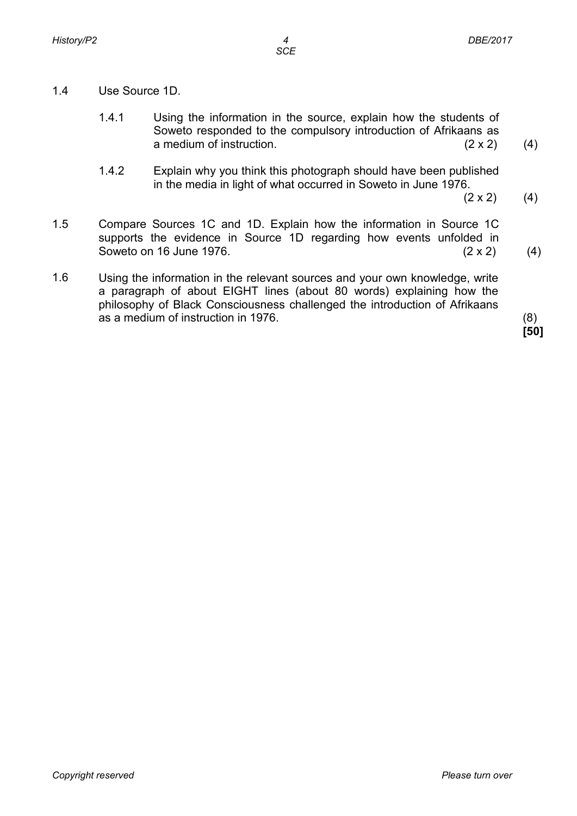- 1.4 Use Source 1D.
	- 1.4.1 Using the information in the source, explain how the students of Soweto responded to the compulsory introduction of Afrikaans as a medium of instruction. (2 x 2)
	- 1.4.2 Explain why you think this photograph should have been published in the media in light of what occurred in Soweto in June 1976.
		- $(2 \times 2)$ (4)

(4)

- 1.5 Compare Sources 1C and 1D. Explain how the information in Source 1C supports the evidence in Source 1D regarding how events unfolded in Soweto on 16 June 1976. Soweto on 16 June 1976.  $(2 \times 2)$  (4)
- 1.6 Using the information in the relevant sources and your own knowledge, write a paragraph of about EIGHT lines (about 80 words) explaining how the philosophy of Black Consciousness challenged the introduction of Afrikaans as a medium of instruction in 1976. (8)

**[50]**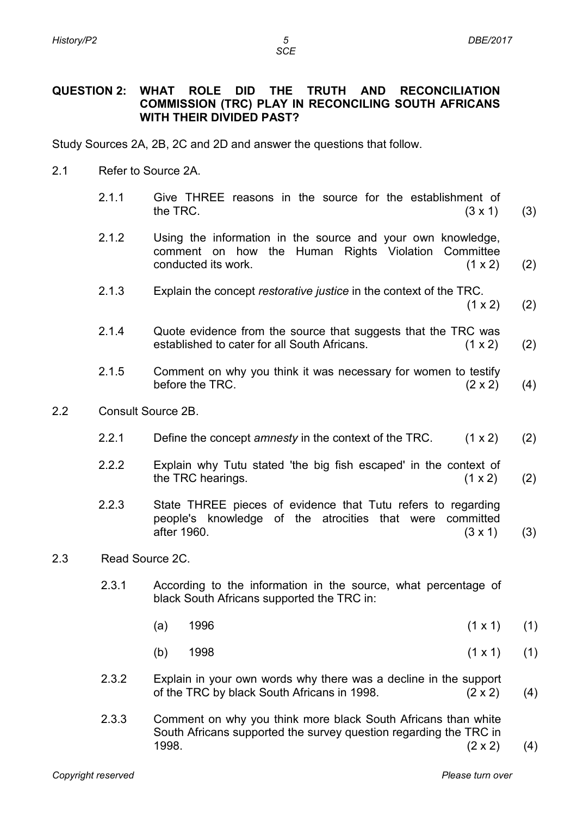*SCE*

#### **QUESTION 2: WHAT ROLE DID THE TRUTH AND RECONCILIATION COMMISSION (TRC) PLAY IN RECONCILING SOUTH AFRICANS WITH THEIR DIVIDED PAST?**

Study Sources 2A, 2B, 2C and 2D and answer the questions that follow.

- 2.1 Refer to Source 2A.
	- 2.1.1 Give THREE reasons in the source for the establishment of the TRC.  $(3 \times 1)$ the TRC.  $(3 \times 1)$ (3)
	- 2.1.2 Using the information in the source and your own knowledge, comment on how the Human Rights Violation Committee conducted its work. (1 x 2) (2)
	- 2.1.3 Explain the concept *restorative justice* in the context of the TRC.
		- $(1 \times 2)$ (2)
	- 2.1.4 Quote evidence from the source that suggests that the TRC was established to cater for all South Africans. (1 x 2) (2)
	- 2.1.5 Comment on why you think it was necessary for women to testify before the TRC.  $(2 \times 2)$ (4)
- 2.2 Consult Source 2B.
	- 2.2.1 Define the concept *amnesty* in the context of the TRC. (1 x 2) (2)
	- 2.2 Explain why Tutu stated 'the big fish escaped' in the context of the TRC hearings.  $(1 \times 2)$ (2)
	- 2.2.3 State THREE pieces of evidence that Tutu refers to regarding people's knowledge of the atrocities that were committed after 1960. (3 x 1) (3)
- 2.3 Read Source 2C.
	- 2.3.1 According to the information in the source, what percentage of black South Africans supported the TRC in:
		- (a)  $1996$  (1 x 1) (1)
		- (b)  $1998$  (1 x 1) (1)
	- 2.3.2 Explain in your own words why there was a decline in the support of the TRC by black South Africans in 1998. (2 x 2) (4)
	- 2.3.3 Comment on why you think more black South Africans than white South Africans supported the survey question regarding the TRC in 1998.  $(2 \times 2)$ (4)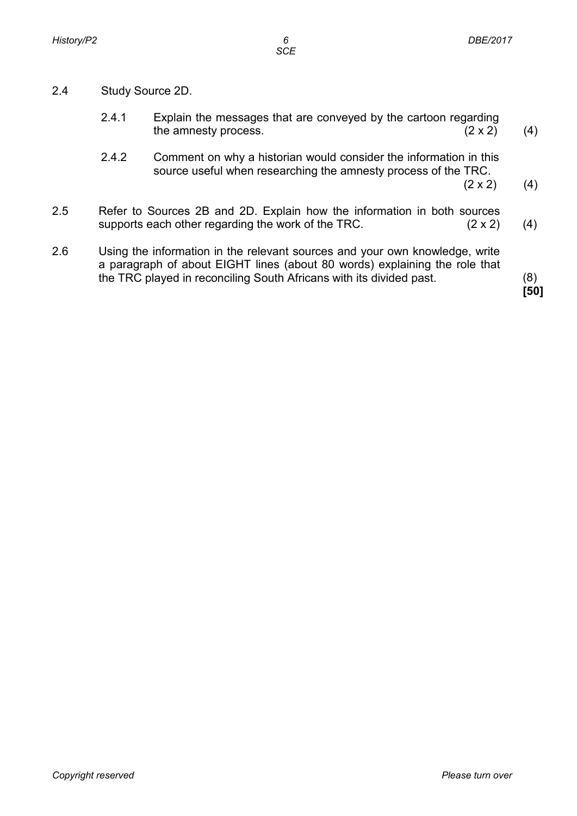- 2.4 Study Source 2D.
	- 2.4.1 Explain the messages that are conveyed by the cartoon regarding<br>the amnesty process.  $(2 \times 2)$ the amnesty process. (4)
	- 2.4.2 Comment on why a historian would consider the information in this source useful when researching the amnesty process of the TRC.  $(2 \times 2)$

(4)

- 2.5 Refer to Sources 2B and 2D. Explain how the information in both sources supports each other regarding the work of the TRC.  $(2 \times 2)$  (4)
- 2.6 Using the information in the relevant sources and your own knowledge, write a paragraph of about EIGHT lines (about 80 words) explaining the role that the TRC played in reconciling South Africans with its divided past. (8)

**[50]**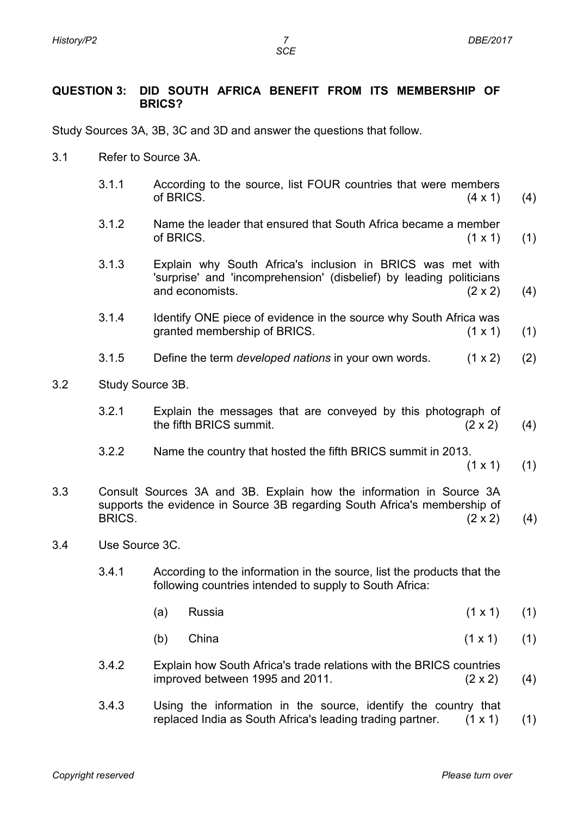*SCE*

#### **QUESTION 3: DID SOUTH AFRICA BENEFIT FROM ITS MEMBERSHIP OF BRICS?**

Study Sources 3A, 3B, 3C and 3D and answer the questions that follow.

- 3.1 Refer to Source 3A.
	- 3.1.1 According to the source, list FOUR countries that were members of BRICS.  $(4 \times 1)$ (4)
	- 3.1.2 Name the leader that ensured that South Africa became a member of BRICS.  $(1 \times 1)$ (1)
	- 3.1.3 Explain why South Africa's inclusion in BRICS was met with 'surprise' and 'incomprehension' (disbelief) by leading politicians and economists. (2 x 2) (4)
	- 3.1.4 Identify ONE piece of evidence in the source why South Africa was granted membership of BRICS. (1 x 1) (1)
	- 3.1.5 Define the term *developed nations* in your own words. (1 x 2) (2)
- 3.2 Study Source 3B.
	- 3.2.1 Explain the messages that are conveyed by this photograph of the fifth BRICS summit.  $(2 \times 2)$ (4)
	- 3.2.2 Name the country that hosted the fifth BRICS summit in 2013.

 $(1 \times 1)$ (1)

- 3.3 Consult Sources 3A and 3B. Explain how the information in Source 3A supports the evidence in Source 3B regarding South Africa's membership of BRICS. BRICS.  $(2 \times 2)$  (4)
- 3.4 Use Source 3C.
	- 3.4.1 According to the information in the source, list the products that the following countries intended to supply to South Africa:
		- (a) Russia (1 x 1) (1)
		- (b) China (1 x 1) (1)
	- 3.4.2 Explain how South Africa's trade relations with the BRICS countries improved between 1995 and 2011.  $(2 \times 2)$ (4)
	- 3.4.3 Using the information in the source, identify the country that replaced India as South Africa's leading trading partner. (1 x 1) (1)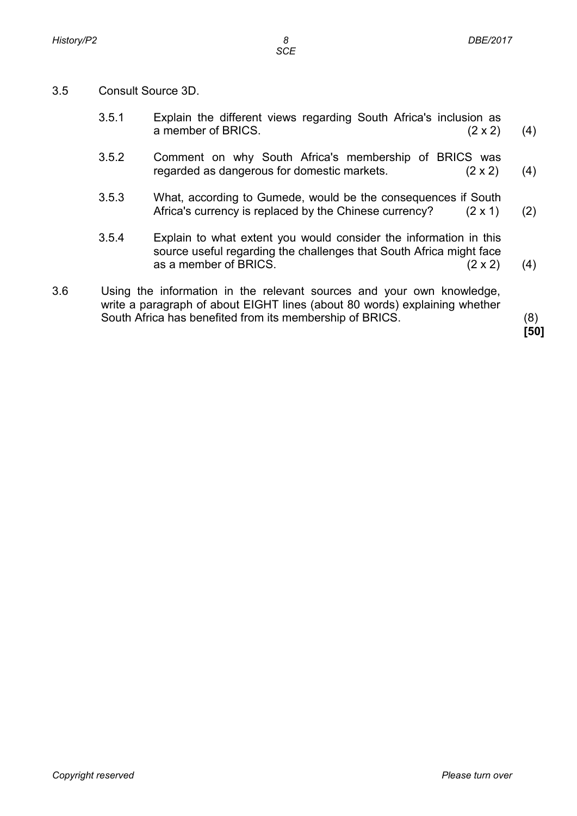- 3.5 Consult Source 3D.
	- 3.5.1 Explain the different views regarding South Africa's inclusion as a member of BRICS. (2 x 2) (4)
	- 3.5.2 Comment on why South Africa's membership of BRICS was regarded as dangerous for domestic markets. (2 x 2) (4)
	- 3.5.3 What, according to Gumede, would be the consequences if South Africa's currency is replaced by the Chinese currency? (2 x 1) (2)
	- 3.5.4 Explain to what extent you would consider the information in this source useful regarding the challenges that South Africa might face as a member of BRICS. (2 x 2) (4)
- 3.6 Using the information in the relevant sources and your own knowledge, write a paragraph of about EIGHT lines (about 80 words) explaining whether South Africa has benefited from its membership of BRICS. (8)

**[50]**